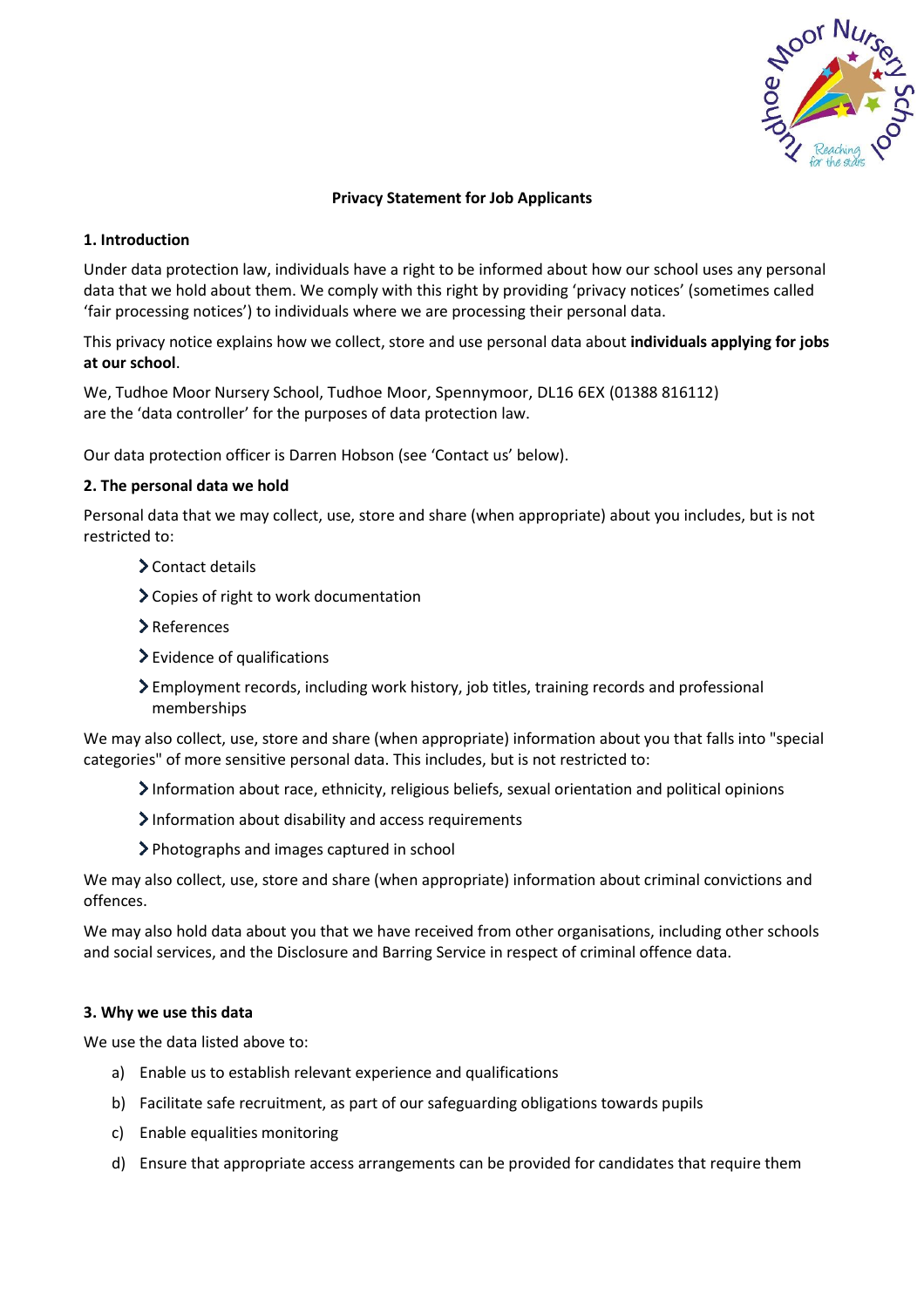

# **Privacy Statement for Job Applicants**

## **1. Introduction**

Under data protection law, individuals have a right to be informed about how our school uses any personal data that we hold about them. We comply with this right by providing 'privacy notices' (sometimes called 'fair processing notices') to individuals where we are processing their personal data.

This privacy notice explains how we collect, store and use personal data about **individuals applying for jobs at our school**.

We, Tudhoe Moor Nursery School, Tudhoe Moor, Spennymoor, DL16 6EX (01388 816112) are the 'data controller' for the purposes of data protection law.

Our data protection officer is Darren Hobson (see 'Contact us' below).

# **2. The personal data we hold**

Personal data that we may collect, use, store and share (when appropriate) about you includes, but is not restricted to:

- Contact details
- Copies of right to work documentation
- >References
- Evidence of qualifications
- Employment records, including work history, job titles, training records and professional memberships

We may also collect, use, store and share (when appropriate) information about you that falls into "special categories" of more sensitive personal data. This includes, but is not restricted to:

- Information about race, ethnicity, religious beliefs, sexual orientation and political opinions
- $\sum$  Information about disability and access requirements
- Photographs and images captured in school

We may also collect, use, store and share (when appropriate) information about criminal convictions and offences.

We may also hold data about you that we have received from other organisations, including other schools and social services, and the Disclosure and Barring Service in respect of criminal offence data.

## **3. Why we use this data**

We use the data listed above to:

- a) Enable us to establish relevant experience and qualifications
- b) Facilitate safe recruitment, as part of our safeguarding obligations towards pupils
- c) Enable equalities monitoring
- d) Ensure that appropriate access arrangements can be provided for candidates that require them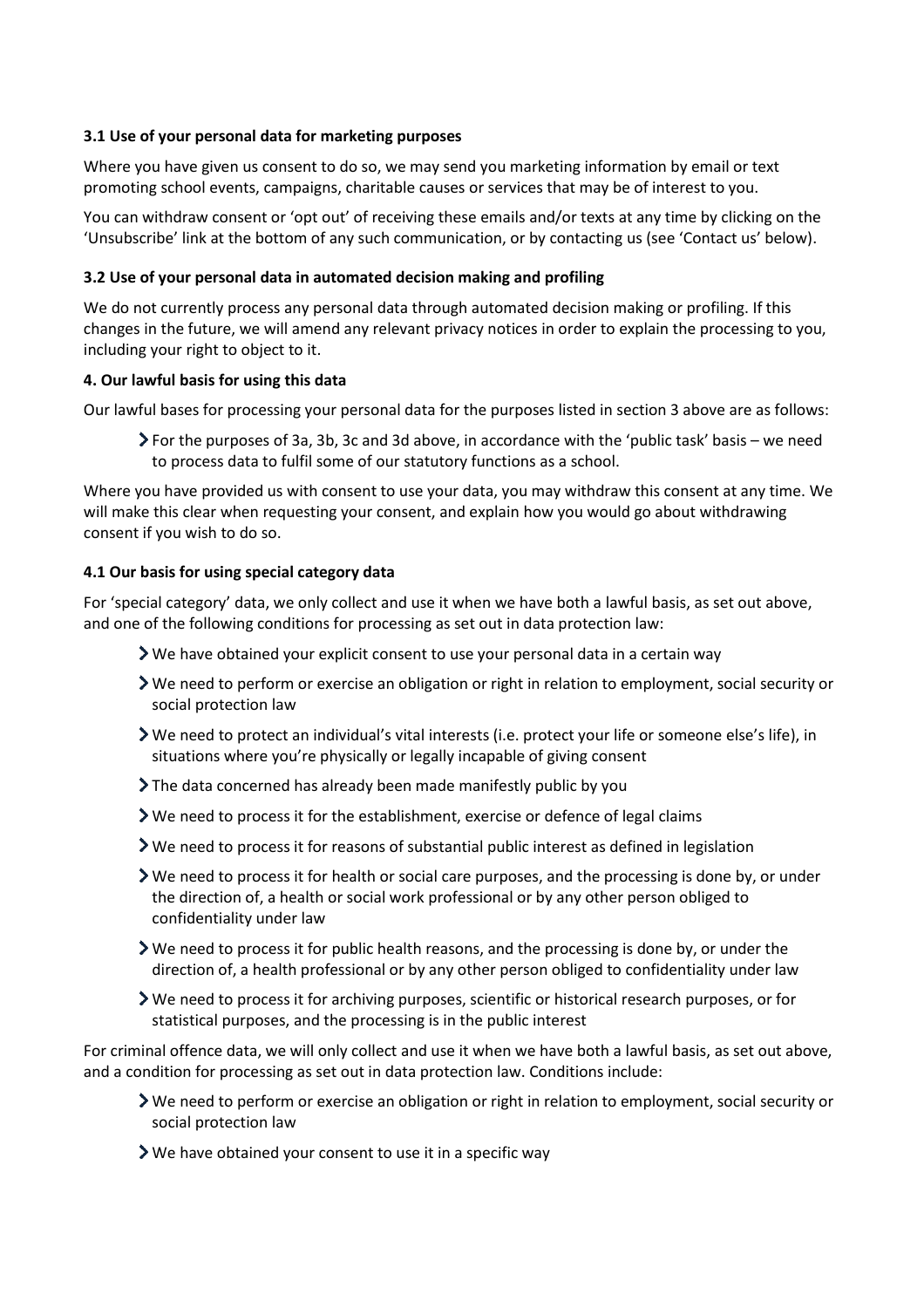# **3.1 Use of your personal data for marketing purposes**

Where you have given us consent to do so, we may send you marketing information by email or text promoting school events, campaigns, charitable causes or services that may be of interest to you.

You can withdraw consent or 'opt out' of receiving these emails and/or texts at any time by clicking on the 'Unsubscribe' link at the bottom of any such communication, or by contacting us (see 'Contact us' below).

# **3.2 Use of your personal data in automated decision making and profiling**

We do not currently process any personal data through automated decision making or profiling. If this changes in the future, we will amend any relevant privacy notices in order to explain the processing to you, including your right to object to it.

## **4. Our lawful basis for using this data**

Our lawful bases for processing your personal data for the purposes listed in section 3 above are as follows:

For the purposes of 3a, 3b, 3c and 3d above, in accordance with the 'public task' basis – we need to process data to fulfil some of our statutory functions as a school.

Where you have provided us with consent to use your data, you may withdraw this consent at any time. We will make this clear when requesting your consent, and explain how you would go about withdrawing consent if you wish to do so.

# **4.1 Our basis for using special category data**

For 'special category' data, we only collect and use it when we have both a lawful basis, as set out above, and one of the following conditions for processing as set out in data protection law:

- $\blacktriangleright$  We have obtained your explicit consent to use your personal data in a certain way
- We need to perform or exercise an obligation or right in relation to employment, social security or social protection law
- We need to protect an individual's vital interests (i.e. protect your life or someone else's life), in situations where you're physically or legally incapable of giving consent
- The data concerned has already been made manifestly public by you
- We need to process it for the establishment, exercise or defence of legal claims
- We need to process it for reasons of substantial public interest as defined in legislation
- $\triangleright$  We need to process it for health or social care purposes, and the processing is done by, or under the direction of, a health or social work professional or by any other person obliged to confidentiality under law
- We need to process it for public health reasons, and the processing is done by, or under the direction of, a health professional or by any other person obliged to confidentiality under law
- We need to process it for archiving purposes, scientific or historical research purposes, or for statistical purposes, and the processing is in the public interest

For criminal offence data, we will only collect and use it when we have both a lawful basis, as set out above, and a condition for processing as set out in data protection law. Conditions include:

- We need to perform or exercise an obligation or right in relation to employment, social security or social protection law
- We have obtained your consent to use it in a specific way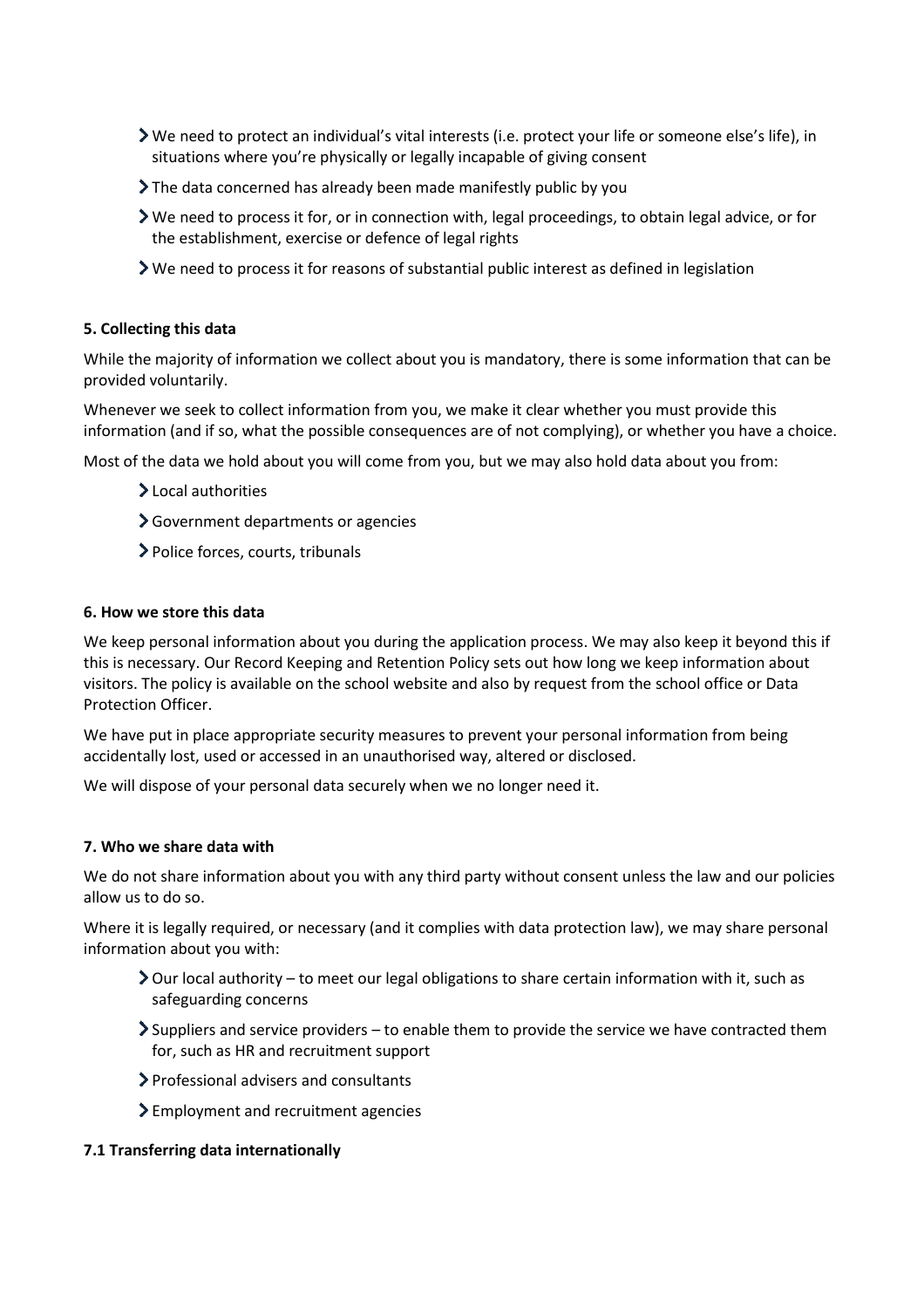- We need to protect an individual's vital interests (i.e. protect your life or someone else's life), in situations where you're physically or legally incapable of giving consent
- The data concerned has already been made manifestly public by you
- We need to process it for, or in connection with, legal proceedings, to obtain legal advice, or for the establishment, exercise or defence of legal rights
- $\triangleright$  We need to process it for reasons of substantial public interest as defined in legislation

## **5. Collecting this data**

While the majority of information we collect about you is mandatory, there is some information that can be provided voluntarily.

Whenever we seek to collect information from you, we make it clear whether you must provide this information (and if so, what the possible consequences are of not complying), or whether you have a choice.

Most of the data we hold about you will come from you, but we may also hold data about you from:

- >Local authorities
- Government departments or agencies
- Police forces, courts, tribunals

## **6. How we store this data**

We keep personal information about you during the application process. We may also keep it beyond this if this is necessary. Our Record Keeping and Retention Policy sets out how long we keep information about visitors. The policy is available on the school website and also by request from the school office or Data Protection Officer.

We have put in place appropriate security measures to prevent your personal information from being accidentally lost, used or accessed in an unauthorised way, altered or disclosed.

We will dispose of your personal data securely when we no longer need it.

## **7. Who we share data with**

We do not share information about you with any third party without consent unless the law and our policies allow us to do so.

Where it is legally required, or necessary (and it complies with data protection law), we may share personal information about you with:

- $\geq$  Our local authority to meet our legal obligations to share certain information with it, such as safeguarding concerns
- $\geq$  Suppliers and service providers to enable them to provide the service we have contracted them for, such as HR and recruitment support
- Professional advisers and consultants
- > Employment and recruitment agencies

## **7.1 Transferring data internationally**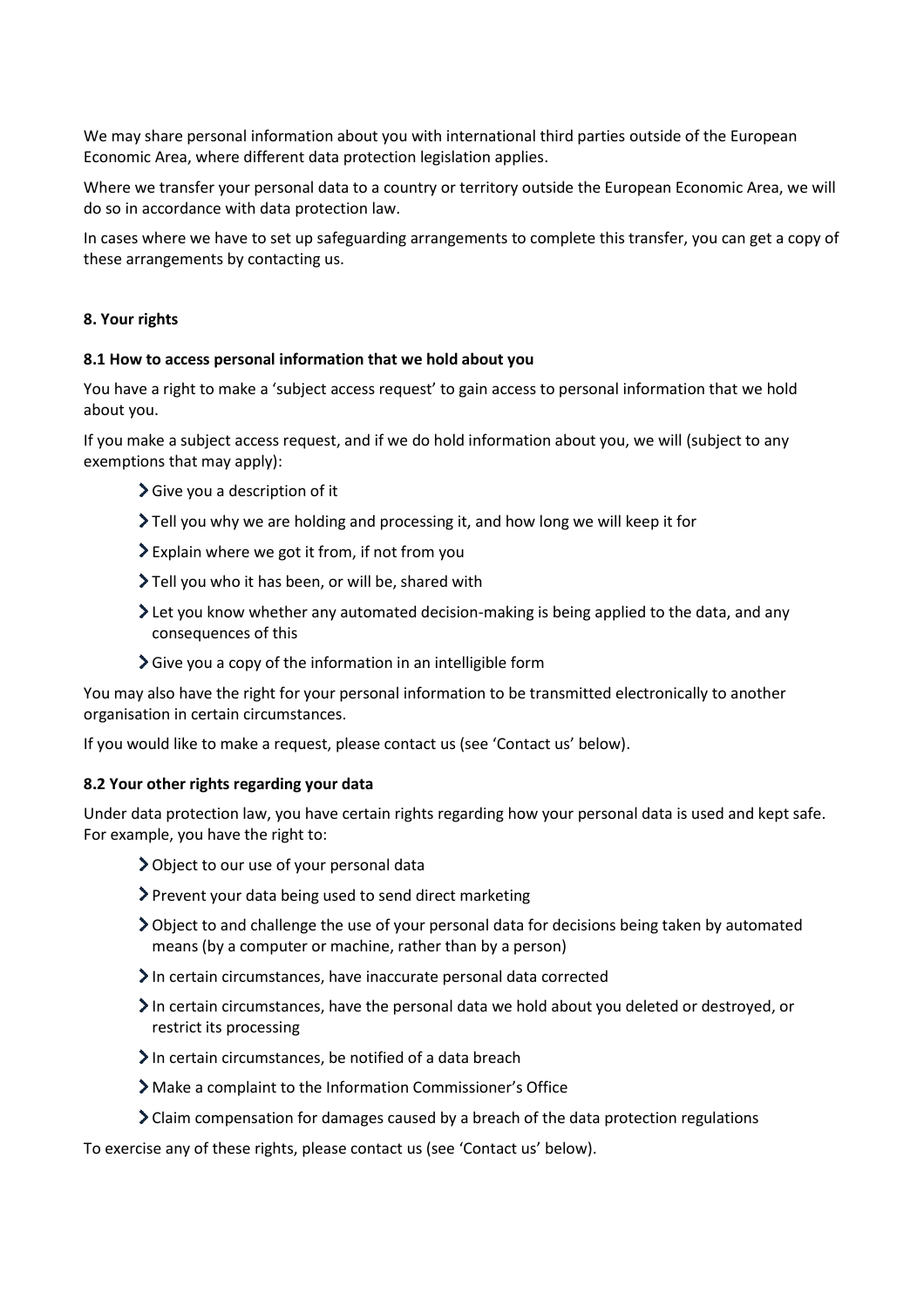We may share personal information about you with international third parties outside of the European Economic Area, where different data protection legislation applies.

Where we transfer your personal data to a country or territory outside the European Economic Area, we will do so in accordance with data protection law.

In cases where we have to set up safeguarding arrangements to complete this transfer, you can get a copy of these arrangements by contacting us.

### **8. Your rights**

#### **8.1 How to access personal information that we hold about you**

You have a right to make a 'subject access request' to gain access to personal information that we hold about you.

If you make a subject access request, and if we do hold information about you, we will (subject to any exemptions that may apply):

- $\blacktriangleright$  Give you a description of it
- Tell you why we are holding and processing it, and how long we will keep it for
- Explain where we got it from, if not from you
- Tell you who it has been, or will be, shared with
- $\geq$  Let you know whether any automated decision-making is being applied to the data, and any consequences of this
- $\sum$  Give you a copy of the information in an intelligible form

You may also have the right for your personal information to be transmitted electronically to another organisation in certain circumstances.

If you would like to make a request, please contact us (see 'Contact us' below).

## **8.2 Your other rights regarding your data**

Under data protection law, you have certain rights regarding how your personal data is used and kept safe. For example, you have the right to:

- Object to our use of your personal data
- Prevent your data being used to send direct marketing
- Object to and challenge the use of your personal data for decisions being taken by automated means (by a computer or machine, rather than by a person)
- In certain circumstances, have inaccurate personal data corrected
- In certain circumstances, have the personal data we hold about you deleted or destroyed, or restrict its processing
- $\sum$  In certain circumstances, be notified of a data breach
- Make a complaint to the Information Commissioner's Office
- Claim compensation for damages caused by a breach of the data protection regulations

To exercise any of these rights, please contact us (see 'Contact us' below).